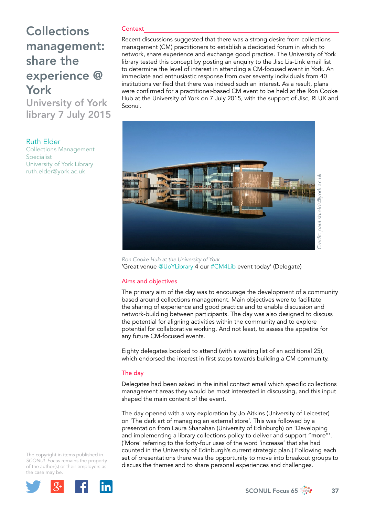# **Collections** management: share the experience @ York

University of York library 7 July 2015

Ruth Elder

Collections Management Specialist University of York Library [ruth.elder@york.ac.uk](mailto:ruth.elder@york.ac.uk)

#### **Context**

Recent discussions suggested that there was a strong desire from collections management (CM) practitioners to establish a dedicated forum in which to network, share experience and exchange good practice. The University of York library tested this concept by posting an enquiry to the Jisc Lis-Link email list to determine the level of interest in attending a CM-focused event in York. An immediate and enthusiastic response from over seventy individuals from 40 institutions verified that there was indeed such an interest. As a result, plans were confirmed for a practitioner-based CM event to be held at the Ron Cooke Hub at the University of York on 7 July 2015, with the support of Jisc, RLUK and Sconul.



*Ron Cooke Hub at the University of York*  'Great venue [@UoYLibrary](https://twitter.com/UoYLibrary) 4 ou[r #CM4Lib](https://twitter.com/hashtag/CM4Lib?src=hash) event today' (Delegate)

#### Aims and objectives

The primary aim of the day was to encourage the development of a community based around collections management. Main objectives were to facilitate the sharing of experience and good practice and to enable discussion and network-building between participants. The day was also designed to discuss the potential for aligning activities within the community and to explore potential for collaborative working. And not least, to assess the appetite for any future CM-focused events.

Eighty delegates booked to attend (with a waiting list of an additional 25), which endorsed the interest in first steps towards building a CM community.

### The day

Delegates had been asked in the initial contact email which specific collections management areas they would be most interested in discussing, and this input shaped the main content of the event.

The day opened with a wry exploration by Jo Aitkins (University of Leicester) on 'The dark art of managing an external store'. This was followed by a presentation from Laura Shanahan (University of Edinburgh) on '[Developing](http://blog.ccm.copac.ac.uk/wp-content/uploads/sites/13/2015/06/Edinburgh-Collections-Management-Day-York-July-2015.pdf)  [and implementing a library collections policy to deliver and support "](http://blog.ccm.copac.ac.uk/wp-content/uploads/sites/13/2015/06/Edinburgh-Collections-Management-Day-York-July-2015.pdf)more"'. ('More' referring to the forty-four uses of the word 'increase' that she had counted in the University of Edinburgh's current strategic plan.) Following each set of presentations there was the opportunity to move into breakout groups to discuss the themes and to share personal experiences and challenges.

The copyright in items published in *SCONUL Focus* remains the property of the author(s) or their employers as the case may be.



SCONUL Focus 65  $\frac{1}{200}$  37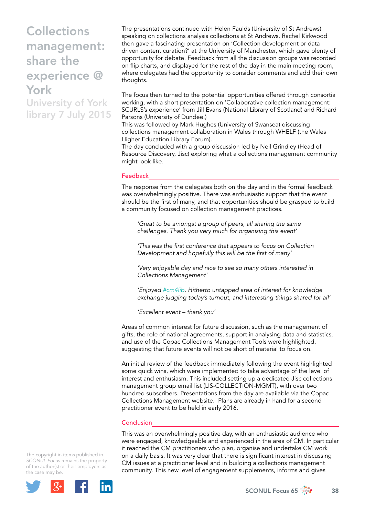## **Collections** management: share the experience @ York

University of York library 7 July 2015

The presentations continued with Helen Faulds (University of St Andrews) speaking on collections analysis collections at St Andrews. Rachel Kirkwood then gave a fascinating presentation on 'Collection development or data driven content curation?' at the University of Manchester, which gave plenty of opportunity for debate. Feedback from all the discussion groups was recorded on flip charts, and displayed for the rest of the day in the main meeting room, where delegates had the opportunity to consider comments and add their own thoughts.

The focus then turned to the potential opportunities offered through consortia working, with a short presentation on 'Collaborative collection management: SCURLS's experience' from Jill Evans (National Library of Scotland) and Richard Parsons (University of Dundee.)

This was followed by Mark Hughes (University of Swansea) discussing collections management collaboration in Wales through WHELF (the Wales Higher Education Library Forum).

The day concluded with a group discussion led by Neil Grindley (Head of Resource Discovery, Jisc) exploring what a collections management community might look like.

### Feedback

The response from the delegates both on the day and in the formal feedback was overwhelmingly positive. There was enthusiastic support that the event should be the first of many, and that opportunities should be grasped to build a community focused on collection management practices.

*'Great to be amongst a group of peers, all sharing the same challenges. Thank you very much for organising this event'*

*'This was the first conference that appears to focus on Collection Development and hopefully this will be the first of many'*

*'Very enjoyable day and nice to see so many others interested in Collections Management'* 

*'Enjoyed [#cm4lib.](https://twitter.com/hashtag/cm4lib?src=hash) Hitherto untapped area of interest for knowledge exchange judging today's turnout, and interesting things shared for all'*

*'Excellent event – thank you'*

Areas of common interest for future discussion, such as the management of gifts, the role of national agreements, support in analysing data and statistics, and use of the Copac Collections Management Tools were highlighted, suggesting that future events will not be short of material to focus on.

An initial review of the feedback immediately following the event highlighted some quick wins, which were implemented to take advantage of the level of interest and enthusiasm. This included setting up a dedicated Jisc collections management group email list (LIS-COLLECTION-MGMT), with over two hundred subscribers. Presentations from the day are available via the Copac Collections Management website. Plans are already in hand for a second practitioner event to be held in early 2016.

### **Conclusion**

This was an overwhelmingly positive day, with an enthusiastic audience who were engaged, knowledgeable and experienced in the area of CM. In particular it reached the CM practitioners who plan, organise and undertake CM work on a daily basis. It was very clear that there is significant interest in discussing CM issues at a practitioner level and in building a collections management community. This new level of engagement supplements, informs and gives

The copyright in items published in *SCONUL Focus* remains the property of the author(s) or their employers as the case may be.